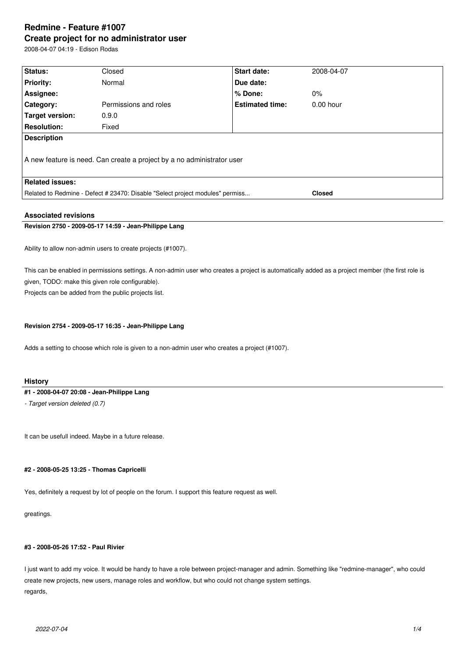# **Redmine - Feature #1007 Create project for no administrator user**

2008-04-07 04:19 - Edison Rodas

| Status:                                                                       | Closed                | <b>Start date:</b>     | 2008-04-07    |
|-------------------------------------------------------------------------------|-----------------------|------------------------|---------------|
| <b>Priority:</b>                                                              | Normal                | Due date:              |               |
| Assignee:                                                                     |                       | % Done:                | $0\%$         |
| Category:                                                                     | Permissions and roles | <b>Estimated time:</b> | $0.00$ hour   |
| Target version:                                                               | 0.9.0                 |                        |               |
| <b>Resolution:</b>                                                            | Fixed                 |                        |               |
| <b>Description</b>                                                            |                       |                        |               |
| A new feature is need. Can create a project by a no administrator user        |                       |                        |               |
| <b>Related issues:</b>                                                        |                       |                        |               |
| Related to Redmine - Defect # 23470: Disable "Select project modules" permiss |                       |                        | <b>Closed</b> |
|                                                                               |                       |                        |               |

## **Associated revisions**

**Revision 2750 - 2009-05-17 14:59 - Jean-Philippe Lang**

Ability to allow non-admin users to create projects (#1007).

This can be enabled in permissions settings. A non-admin user who creates a project is automatically added as a project member (the first role is given, TODO: make this given role configurable).

Projects can be added from the public projects list.

## **Revision 2754 - 2009-05-17 16:35 - Jean-Philippe Lang**

Adds a setting to choose which role is given to a non-admin user who creates a project (#1007).

## **History**

## **#1 - 2008-04-07 20:08 - Jean-Philippe Lang**

*- Target version deleted (0.7)*

It can be usefull indeed. Maybe in a future release.

## **#2 - 2008-05-25 13:25 - Thomas Capricelli**

Yes, definitely a request by lot of people on the forum. I support this feature request as well.

greatings.

## **#3 - 2008-05-26 17:52 - Paul Rivier**

I just want to add my voice. It would be handy to have a role between project-manager and admin. Something like "redmine-manager", who could create new projects, new users, manage roles and workflow, but who could not change system settings. regards,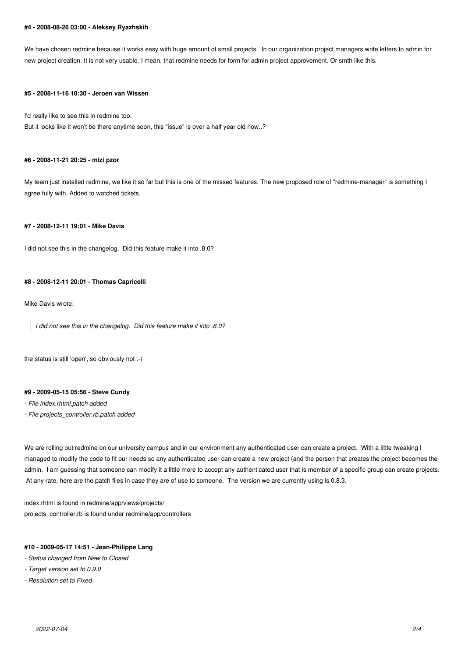## **#4 - 2008-08-26 03:00 - Aleksey Ryazhskih**

We have chosen redmine because it works easy with huge amount of small projects. In our organization project managers write letters to admin for new project creation. It is not very usable. I mean, that redmine needs for form for admin project approvement. Or smth like this.

#### **#5 - 2008-11-16 10:30 - Jeroen van Wissen**

I'd really like to see this in redmine too.

But it looks like it won't be there anytime soon, this "issue" is over a half year old now..?

#### **#6 - 2008-11-21 20:25 - mizi pzor**

My team just installed redmine, we like it so far but this is one of the missed features. The new proposed role of "redmine-manager" is something I agree fully with. Added to watched tickets.

## **#7 - 2008-12-11 19:01 - Mike Davis**

I did not see this in the changelog. Did this feature make it into .8.0?

## **#8 - 2008-12-11 20:01 - Thomas Capricelli**

Mike Davis wrote:

*I did not see this in the changelog. Did this feature make it into .8.0?*

the status is still 'open', so obviously not :-)

#### **#9 - 2009-05-15 05:56 - Steve Cundy**

*- File index.rhtml.patch added*

*- File projects\_controller.rb.patch added*

We are rolling out redmine on our university campus and in our environment any authenticated user can create a project. With a little tweaking I managed to modify the code to fit our needs so any authenticated user can create a new project (and the person that creates the project becomes the admin. I am guessing that someone can modify it a little more to accept any authenticated user that is member of a specific group can create projects. At any rate, here are the patch files in case they are of use to someone. The version we are currently using is 0.8.3.

index.rhtml is found in redmine/app/views/projects/ projects\_controller.rb is found under redmine/app/controllers

## **#10 - 2009-05-17 14:51 - Jean-Philippe Lang**

- *Status changed from New to Closed*
- *Target version set to 0.9.0*
- *Resolution set to Fixed*